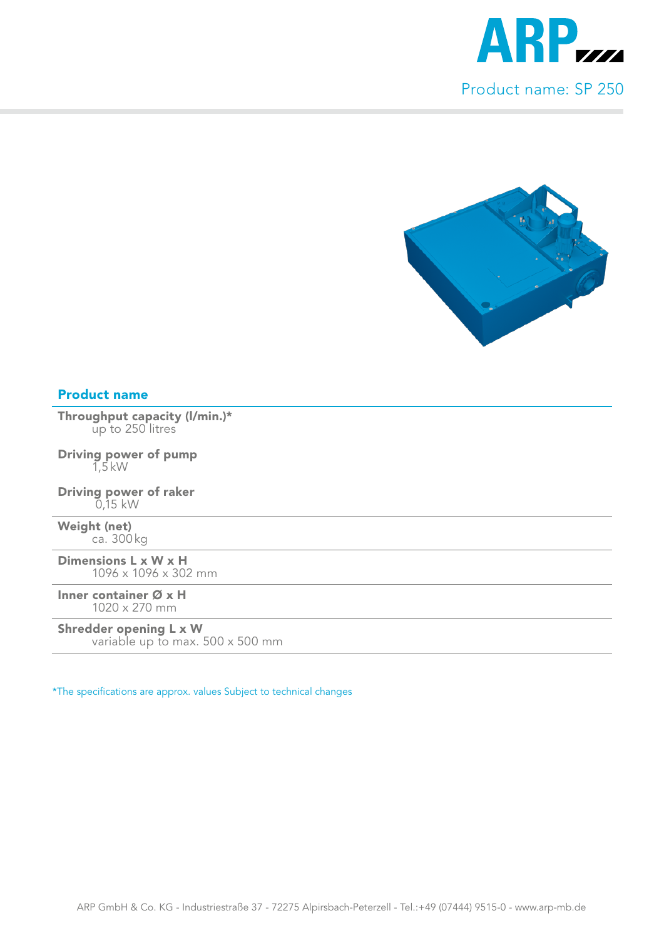

## Product name

Throughput capacity (l/min.)\* up to 250 litres

Driving power of pump 1,5 kW

Driving power of raker 0,15 kW

Weight (net) ca. 300 kg

Dimensions L x W x H 1096 x 1096 x 302 mm

Inner container Ø x H 1020 x 270 mm

## Shredder opening L x W

variable up to max. 500 x 500 mm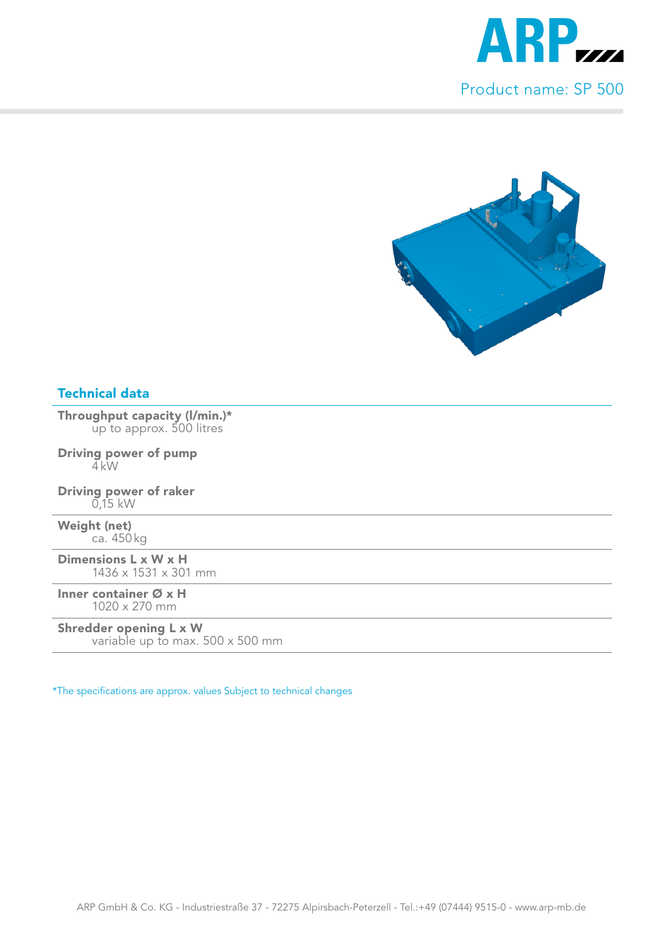

Throughput capacity (l/min.)\* up to approx. 500 litres

Driving power of pump  $4$  kW

Driving power of raker 0,15 kW

Weight (net) ca. 450 kg

Dimensions L x W x H 1436 x 1531 x 301 mm

Inner container Ø x H 1020 x 270 mm

#### Shredder opening L x W

variable up to max. 500 x 500 mm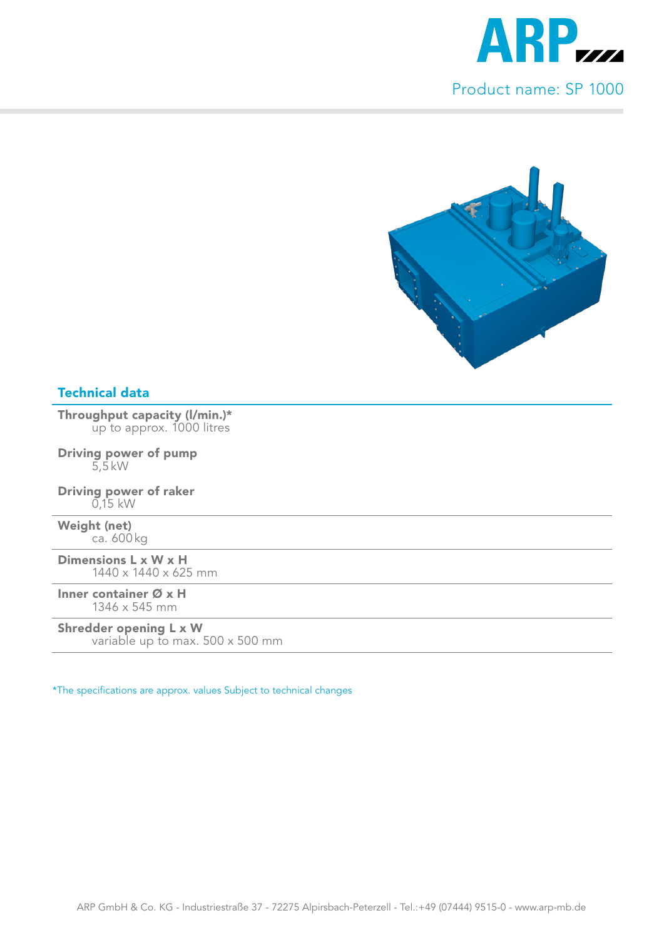

Throughput capacity (l/min.)\* up to approx. 1000 litres

Driving power of pump 5,5 kW

Driving power of raker  $0.15$  kW

Weight (net) ca. 600 kg

Dimensions L x W x H 1440 x 1440 x 625 mm

Inner container Ø x H 1346 x 545 mm

#### Shredder opening L x W

variable up to max. 500 x 500 mm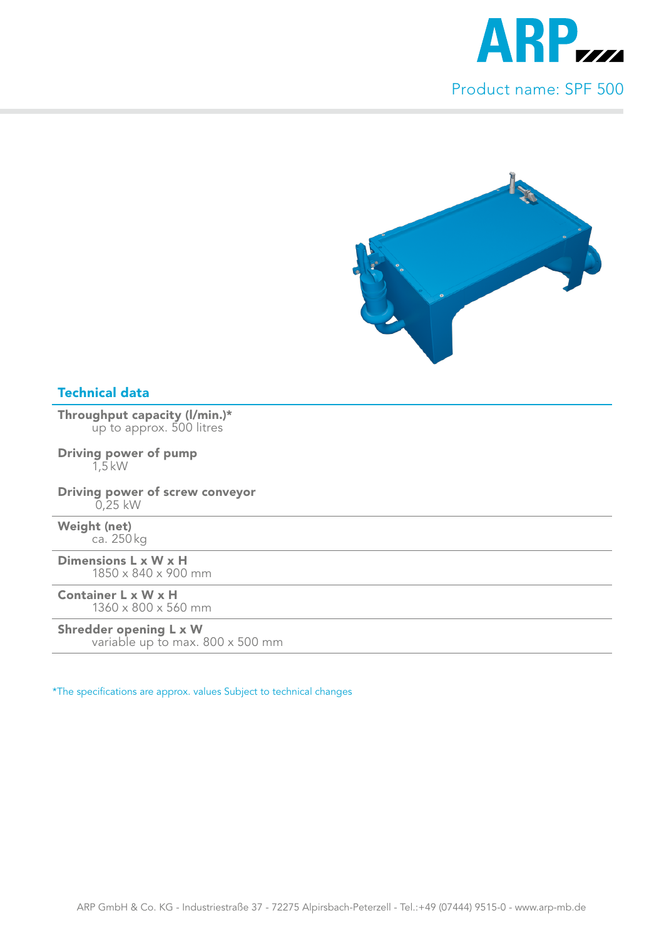

Throughput capacity (l/min.)\* up to approx. 500 litres

Driving power of pump 1,5 kW

Driving power of screw conveyor 0,25 kW

Weight (net) ca. 250 kg

Dimensions L x W x H 1850 x 840 x 900 mm

Container L x W x H 1360 x 800 x 560 mm

#### Shredder opening L x W

variable up to max. 800 x 500 mm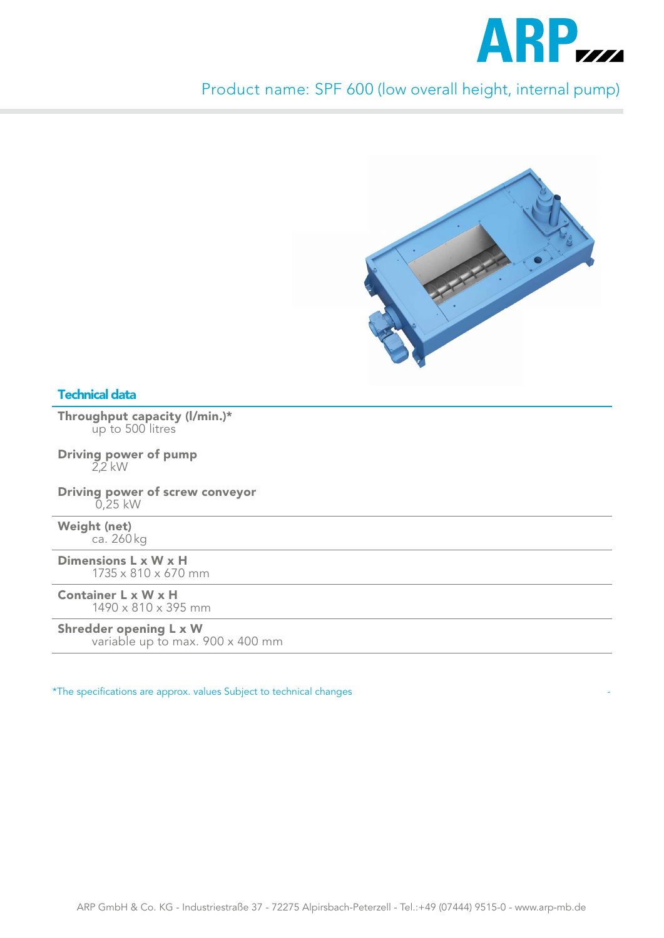

Product name: SPF 600 (low overall height, internal pump)



## Technical data

Throughput capacity (l/min.)\* up to 500 litres

Driving power of pump 2,2 kW

Driving power of screw conveyor 0,25 kW

Weight (net) ca. 260 kg

Dimensions L x W x H 1735 x 810 x 670 mm

Container L x W x H 1490 x 810 x 395 mm

#### Shredder opening L x W

variable up to max. 900 x 400 mm